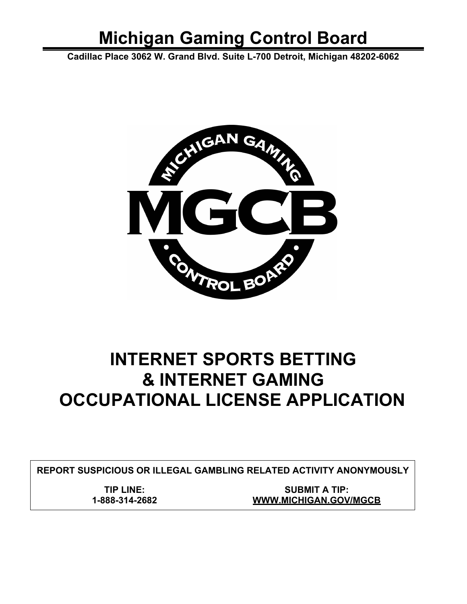# **Michigan Gaming Control Board**

**Cadillac Place 3062 W. Grand Blvd. Suite L-700 Detroit, Michigan 48202-6062**



## **INTERNET SPORTS BETTING & INTERNET GAMING OCCUPATIONAL LICENSE APPLICATION**

**REPORT SUSPICIOUS OR ILLEGAL GAMBLING RELATED ACTIVITY ANONYMOUSLY**

**TIP LINE: 1-888-314-2682**

**SUBMIT A TIP: [WWW.MICHIGAN.GOV/MGCB](http://www.michigan.gov/MGCB)**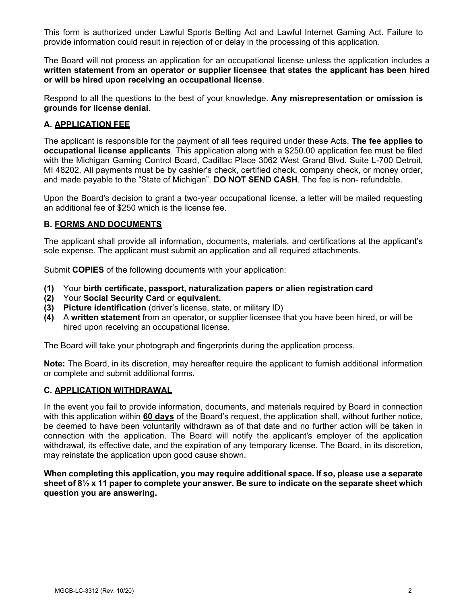This form is authorized under Lawful Sports Betting Act and Lawful Internet Gaming Act. Failure to provide information could result in rejection of or delay in the processing of this application.

The Board will not process an application for an occupational license unless the application includes a **written statement from an operator or supplier licensee that states the applicant has been hired or will be hired upon receiving an occupational license**.

Respond to all the questions to the best of your knowledge. **Any misrepresentation or omission is grounds for license denial**.

#### **A. APPLICATION FEE**

The applicant is responsible for the payment of all fees required under these Acts. **The fee applies to occupational license applicants**. This application along with a \$250.00 application fee must be filed with the Michigan Gaming Control Board, Cadillac Place 3062 West Grand Blvd. Suite L-700 Detroit, MI 48202. All payments must be by cashier's check, certified check, company check, or money order, and made payable to the "State of Michigan". **DO NOT SEND CASH**. The fee is non- refundable.

Upon the Board's decision to grant a two-year occupational license, a letter will be mailed requesting an additional fee of \$250 which is the license fee.

#### **B. FORMS AND DOCUMENTS**

The applicant shall provide all information, documents, materials, and certifications at the applicant's sole expense. The applicant must submit an application and all required attachments.

Submit **COPIES** of the following documents with your application:

- **(1)** Your **birth certificate, passport, naturalization papers or alien registration card**
- **(2)** Your **Social Security Card** or **equivalent.**
- **(3) Picture identification** (driver's license, state, or military ID)
- **(4)** A **written statement** from an operator, or supplier licensee that you have been hired, or will be hired upon receiving an occupational license.

The Board will take your photograph and fingerprints during the application process.

**Note:** The Board, in its discretion, may hereafter require the applicant to furnish additional information or complete and submit additional forms.

#### **C. APPLICATION WITHDRAWAL**

In the event you fail to provide information, documents, and materials required by Board in connection with this application within **60 days** of the Board's request, the application shall, without further notice, be deemed to have been voluntarily withdrawn as of that date and no further action will be taken in connection with the application. The Board will notify the applicant's employer of the application withdrawal, its effective date, and the expiration of any temporary license. The Board, in its discretion, may reinstate the application upon good cause shown.

**When completing this application, you may require additional space. If so, please use a separate sheet of 8½ x 11 paper to complete your answer. Be sure to indicate on the separate sheet which question you are answering.**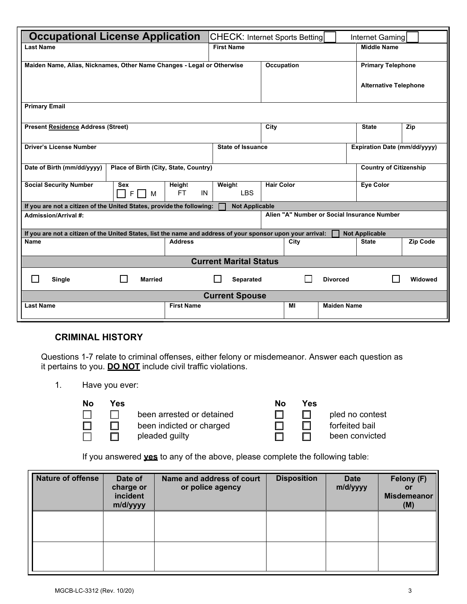| <b>Occupational License Application</b>                                                                     |                                       |                       | <b>CHECK: Internet Sports Betting</b>       |                               | Internet Gaming              |          |
|-------------------------------------------------------------------------------------------------------------|---------------------------------------|-----------------------|---------------------------------------------|-------------------------------|------------------------------|----------|
| <b>Last Name</b>                                                                                            |                                       | <b>First Name</b>     |                                             |                               | <b>Middle Name</b>           |          |
| Maiden Name, Alias, Nicknames, Other Name Changes - Legal or Otherwise                                      |                                       |                       | Occupation<br><b>Primary Telephone</b>      |                               |                              |          |
|                                                                                                             |                                       |                       |                                             |                               | <b>Alternative Telephone</b> |          |
| <b>Primary Email</b>                                                                                        |                                       |                       |                                             |                               |                              |          |
| <b>Present Residence Address (Street)</b>                                                                   |                                       |                       | City                                        |                               | <b>State</b>                 | Zip      |
| <b>Driver's License Number</b>                                                                              | <b>State of Issuance</b>              |                       |                                             | Expiration Date (mm/dd/yyyy)  |                              |          |
| Date of Birth (mm/dd/yyyy)                                                                                  | Place of Birth (City, State, Country) |                       |                                             | <b>Country of Citizenship</b> |                              |          |
| <b>Social Security Number</b><br><b>Sex</b><br>F <br>M                                                      | Height<br>FT.<br>IN                   | Weight<br><b>LBS</b>  | <b>Hair Color</b>                           |                               | <b>Eye Color</b>             |          |
| If you are not a citizen of the United States, provide the following:                                       |                                       | <b>Not Applicable</b> |                                             |                               |                              |          |
| Admission/Arrival #:                                                                                        |                                       |                       | Alien "A" Number or Social Insurance Number |                               |                              |          |
| If you are not a citizen of the United States, list the name and address of your sponsor upon your arrival: |                                       |                       |                                             |                               | <b>Not Applicable</b>        |          |
| <b>Name</b>                                                                                                 | <b>Address</b>                        |                       | City                                        |                               | <b>State</b>                 | Zip Code |
| <b>Current Marital Status</b>                                                                               |                                       |                       |                                             |                               |                              |          |
| $\mathsf{L}$<br><b>Married</b><br>Single                                                                    |                                       | $\Box$<br>Separated   | $\mathbf{I}$                                | <b>Divorced</b>               |                              | Widowed  |
| <b>Current Spouse</b>                                                                                       |                                       |                       |                                             |                               |                              |          |
| <b>Last Name</b>                                                                                            | <b>First Name</b>                     |                       | MI                                          | <b>Maiden Name</b>            |                              |          |

## **CRIMINAL HISTORY**

Questions 1-7 relate to criminal offenses, either felony or misdemeanor. Answer each question as it pertains to you. **DO NOT** include civil traffic violations.

1. Have you ever:

П □  $\Box$ 

| No |  |
|----|--|
|    |  |
|    |  |
|    |  |

**No Yes No Yes** been arrested or detained  $\Box$   $\Box$  pled no contest been indicted or charged  $\Box$   $\Box$  forfeited bail pleaded guilty **been** convicted

| lo | Ye |
|----|----|
|    | П  |
|    | ı  |

If you answered **yes** to any of the above, please complete the following table:

| Nature of offense | Date of<br>charge or<br>incident<br>m/d/yyyy | Name and address of court<br>or police agency | <b>Disposition</b> | <b>Date</b><br>m/d/yyyy | Felony (F)<br>or<br><b>Misdemeanor</b><br>(M) |
|-------------------|----------------------------------------------|-----------------------------------------------|--------------------|-------------------------|-----------------------------------------------|
|                   |                                              |                                               |                    |                         |                                               |
|                   |                                              |                                               |                    |                         |                                               |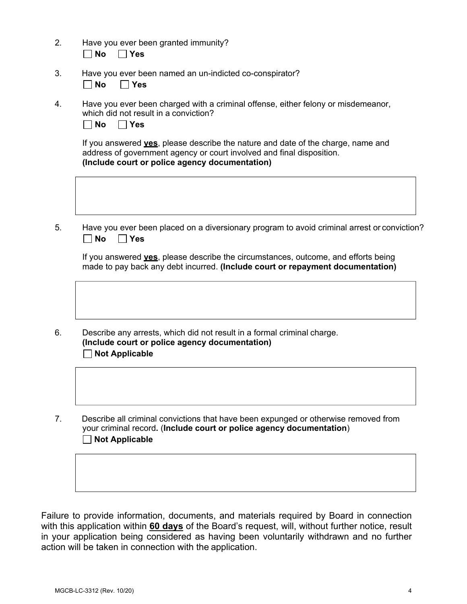- 2. Have you ever been granted immunity? **No Yes**
- 3. Have you ever been named an un-indicted co-conspirator?

**No Yes** 

4. Have you ever been charged with a criminal offense, either felony or misdemeanor, which did not result in a conviction?

| No. | Yes |
|-----|-----|
|-----|-----|

If you answered **yes**, please describe the nature and date of the charge, name and address of government agency or court involved and final disposition. **(Include court or police agency documentation)**

5. Have you ever been placed on a diversionary program to avoid criminal arrest or conviction? **No Yes** 

If you answered **yes**, please describe the circumstances, outcome, and efforts being made to pay back any debt incurred. **(Include court or repayment documentation)**

- 6. Describe any arrests, which did not result in a formal criminal charge. **(Include court or police agency documentation) Not Applicable**
- 7. Describe all criminal convictions that have been expunged or otherwise removed from your criminal record**.** (**Include court or police agency documentation**) **Not Applicable**

Failure to provide information, documents, and materials required by Board in connection with this application within **60 days** of the Board's request, will, without further notice, result in your application being considered as having been voluntarily withdrawn and no further action will be taken in connection with the application.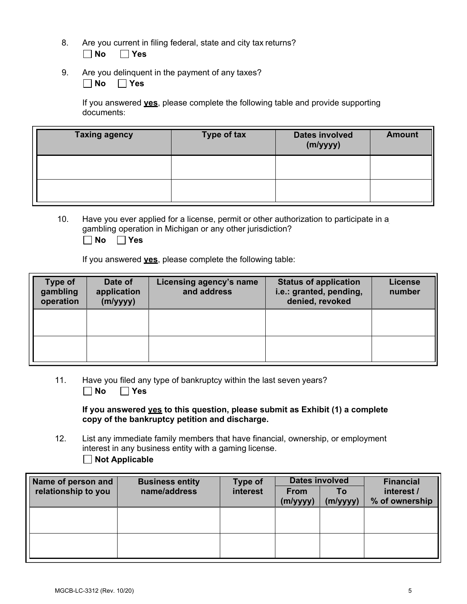- 8. Are you current in filing federal, state and city tax returns? **No Yes**
- 9. Are you delinquent in the payment of any taxes? **No Yes**

If you answered **yes**, please complete the following table and provide supporting documents:

| <b>Taxing agency</b> | <b>Type of tax</b> | <b>Dates involved</b><br>(m/yyyy) | <b>Amount</b> |
|----------------------|--------------------|-----------------------------------|---------------|
|                      |                    |                                   |               |
|                      |                    |                                   |               |

10. Have you ever applied for a license, permit or other authorization to participate in a gambling operation in Michigan or any other jurisdiction?

**No Yes** 

If you answered **yes**, please complete the following table:

| Type of<br>gambling<br>operation | Date of<br>application<br>(m/yyyy) | Licensing agency's name<br>and address | <b>Status of application</b><br>i.e.: granted, pending,<br>denied, revoked | <b>License</b><br>number |
|----------------------------------|------------------------------------|----------------------------------------|----------------------------------------------------------------------------|--------------------------|
|                                  |                                    |                                        |                                                                            |                          |
|                                  |                                    |                                        |                                                                            |                          |

11. Have you filed any type of bankruptcy within the last seven years? **No Yes** 

**If you answered yes to this question, please submit as Exhibit (1) a complete copy of the bankruptcy petition and discharge.**

12. List any immediate family members that have financial, ownership, or employment interest in any business entity with a gaming license. **Not Applicable**

| Name of person and  | <b>Business entity</b> | <b>Type of</b> |                         | <b>Dates involved</b> | <b>Financial</b>             |
|---------------------|------------------------|----------------|-------------------------|-----------------------|------------------------------|
| relationship to you | name/address           | interest       | <b>From</b><br>(m/yyyy) | Т٥<br>(m/yyyy)        | interest /<br>% of ownership |
|                     |                        |                |                         |                       |                              |
|                     |                        |                |                         |                       |                              |
|                     |                        |                |                         |                       |                              |
|                     |                        |                |                         |                       |                              |
|                     |                        |                |                         |                       |                              |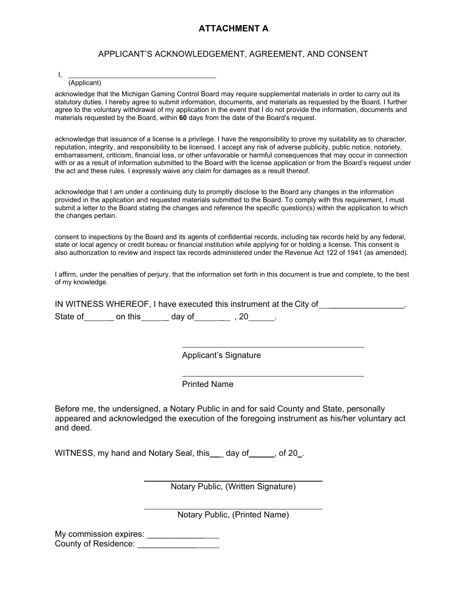## **ATTACHMENT A**

#### APPLICANT'S ACKNOWLEDGEMENT, AGREEMENT, AND CONSENT

I, (Applicant)

acknowledge that the Michigan Gaming Control Board may require supplemental materials in order to carry out its statutory duties. I hereby agree to submit information, documents, and materials as requested by the Board. I further agree to the voluntary withdrawal of my application in the event that I do not provide the information, documents and materials requested by the Board, within **60** days from the date of the Board's request.

acknowledge that issuance of a license is a privilege. I have the responsibility to prove my suitability as to character, reputation, integrity, and responsibility to be licensed. I accept any risk of adverse publicity, public notice, notoriety, embarrassment, criticism, financial loss, or other unfavorable or harmful consequences that may occur in connection with or as a result of information submitted to the Board with the license application or from the Board's request under the act and these rules. I expressly waive any claim for damages as a result thereof.

acknowledge that I am under a continuing duty to promptly disclose to the Board any changes in the information provided in the application and requested materials submitted to the Board. To comply with this requirement, I must submit a letter to the Board stating the changes and reference the specific question(s) within the application to which the changes pertain.

consent to inspections by the Board and its agents of confidential records, including tax records held by any federal, state or local agency or credit bureau or financial institution while applying for or holding a license*.* This consent is also authorization to review and inspect tax records administered under the Revenue Act 122 of 1941 (as amended).

I affirm, under the penalties of perjury, that the information set forth in this document is true and complete, to the best of my knowledge.

|          |         |                 | IN WITNESS WHEREOF, I have executed this instrument at the City of |  |
|----------|---------|-----------------|--------------------------------------------------------------------|--|
| State of | on this | dav of     . 20 |                                                                    |  |

Applicant's Signature

Printed Name

Before me, the undersigned, a Notary Public in and for said County and State, personally appeared and acknowledged the execution of the foregoing instrument as his/her voluntary act and deed.

WITNESS, my hand and Notary Seal, this \_\_ day of \_\_\_\_\_, of 20\_.

Notary Public, (Written Signature)

Notary Public, (Printed Name)

My commission expires: \_\_\_\_\_\_\_\_\_\_\_\_\_\_\_ County of Residence: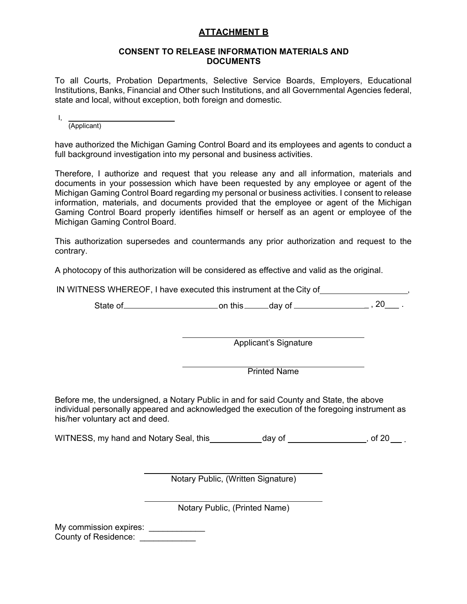## **ATTACHMENT B**

#### **CONSENT TO RELEASE INFORMATION MATERIALS AND DOCUMENTS**

To all Courts, Probation Departments, Selective Service Boards, Employers, Educational Institutions, Banks, Financial and Other such Institutions, and all Governmental Agencies federal, state and local, without exception, both foreign and domestic.

I,

(Applicant)

have authorized the Michigan Gaming Control Board and its employees and agents to conduct a full background investigation into my personal and business activities.

Therefore, I authorize and request that you release any and all information, materials and documents in your possession which have been requested by any employee or agent of the Michigan Gaming Control Board regarding my personal or business activities. I consent to release information, materials, and documents provided that the employee or agent of the Michigan Gaming Control Board properly identifies himself or herself as an agent or employee of the Michigan Gaming Control Board.

This authorization supersedes and countermands any prior authorization and request to the contrary.

A photocopy of this authorization will be considered as effective and valid as the original.

IN WITNESS WHEREOF, I have executed this instrument at the City of **with the City of**  $\frac{1}{2}$ ,

State of on this day of \_ , 20\_\_\_ .

Applicant's Signature

Printed Name

Before me, the undersigned, a Notary Public in and for said County and State, the above individual personally appeared and acknowledged the execution of the foregoing instrument as his/her voluntary act and deed.

WITNESS, my hand and Notary Seal, this  $\frac{1}{100}$  day of  $\frac{1}{100}$  of 20  $\frac{1}{100}$ .

Notary Public, (Written Signature)

Notary Public, (Printed Name)

My commission expires: \_\_\_\_\_\_\_\_\_\_\_\_ County of Residence: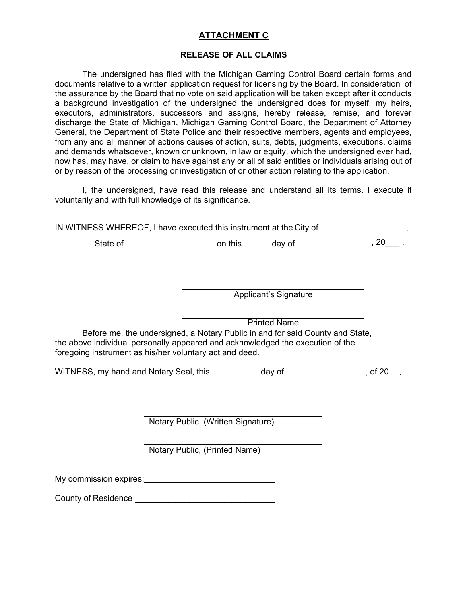## **ATTACHMENT C**

#### **RELEASE OF ALL CLAIMS**

The undersigned has filed with the Michigan Gaming Control Board certain forms and documents relative to a written application request for licensing by the Board. In consideration of the assurance by the Board that no vote on said application will be taken except after it conducts a background investigation of the undersigned the undersigned does for myself, my heirs, executors, administrators, successors and assigns, hereby release, remise, and forever discharge the State of Michigan, Michigan Gaming Control Board, the Department of Attorney General, the Department of State Police and their respective members, agents and employees, from any and all manner of actions causes of action, suits, debts, judgments, executions, claims and demands whatsoever, known or unknown, in law or equity, which the undersigned ever had, now has, may have, or claim to have against any or all of said entities or individuals arising out of or by reason of the processing or investigation of or other action relating to the application.

I, the undersigned, have read this release and understand all its terms. I execute it voluntarily and with full knowledge of its significance.

IN WITNESS WHEREOF, I have executed this instrument at the City of ,

State of on this day of , 20\_\_\_ .

Applicant's Signature

Printed Name Before me, the undersigned, a Notary Public in and for said County and State, the above individual personally appeared and acknowledged the execution of the foregoing instrument as his/her voluntary act and deed.

WITNESS, my hand and Notary Seal, this day of **container the sealer of the sealer of the sealer of 20** ...

Notary Public, (Written Signature)

Notary Public, (Printed Name)

My commission expires:

County of Residence **Example 20** and the country of Residence